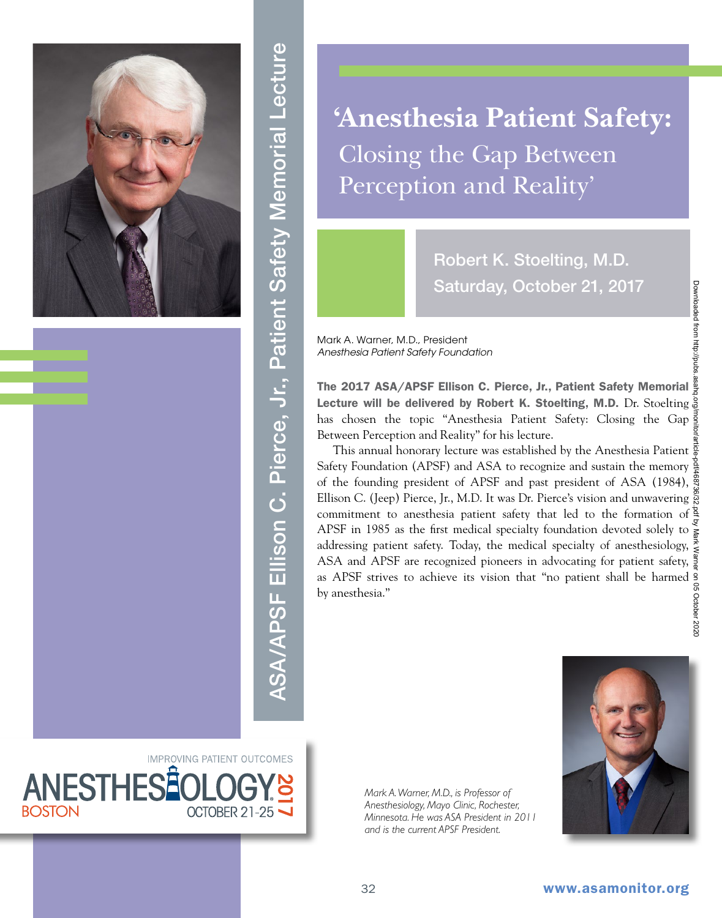

ASA/APSF Ellison C. Pierce, Jr., Patient Safety Memorial Lecture ASA/APSF Ellison C. Pierce, Jr., Patient Safety Memorial Lecture

**'Anesthesia Patient Safety:**  Closing the Gap Between Perception and Reality'

> Robert K. Stoelting, M.D. Saturday, October 21, 2017

Mark A. Warner, M.D., President *Anesthesia Patient Safety Foundation*

The 2017 ASA/APSF Ellison C. Pierce, Jr., Patient Safety Memorial Lecture will be delivered by Robert K. Stoelting, M.D. Dr. Stoelting a has chosen the topic "Anesthesia Patient Safety: Closing the Gap Between Perception and Reality" for his lecture.

This annual honorary lecture was established by the Anesthesia Patient  $\frac{5}{8}$ Safety Foundation (APSF) and ASA to recognize and sustain the memory  $\frac{8}{5}$ of the founding president of APSF and past president of ASA (1984),  $\frac{8}{3}$ Ellison C. (Jeep) Pierce, Jr., M.D. It was Dr. Pierce's vision and unwavering commitment to anesthesia patient safety that led to the formation of  $\frac{8}{5}$ APSF in 1985 as the first medical specialty foundation devoted solely to  $\frac{8}{5}$ addressing patient safety. Today, the medical specialty of anesthesiology, ASA and APSF are recognized pioneers in advocating for patient safety,  $\frac{8}{8}$ as APSF strives to achieve its vision that "no patient shall be harmed by anesthesia."

*Mark A. Warner, M.D., is Professor of Anesthesiology, Mayo Clinic, Rochester, Minnesota. He was ASA President in 2011 and is the current APSF President.*